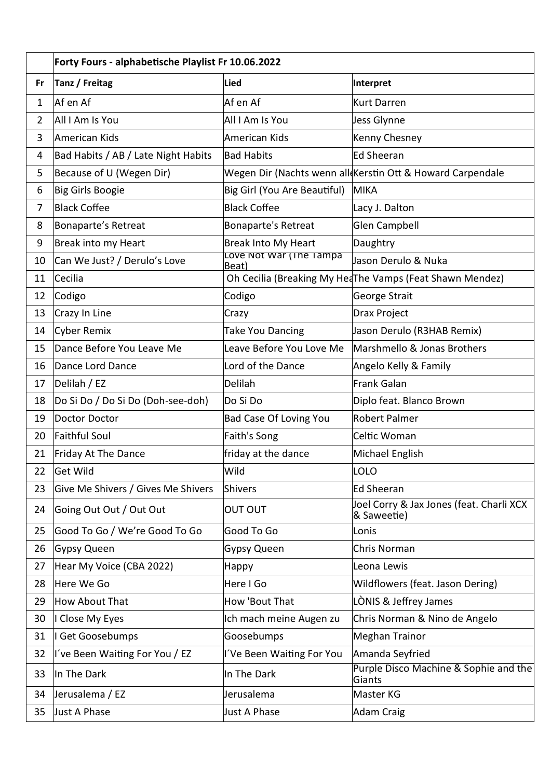|                | Forty Fours - alphabetische Playlist Fr 10.06.2022 |                                  |                                                            |  |
|----------------|----------------------------------------------------|----------------------------------|------------------------------------------------------------|--|
| Fr             | Tanz / Freitag                                     | <b>Lied</b>                      | Interpret                                                  |  |
| $\mathbf{1}$   | Af en Af                                           | Af en Af                         | <b>Kurt Darren</b>                                         |  |
| $\overline{2}$ | All I Am Is You                                    | All I Am Is You                  | Jess Glynne                                                |  |
| 3              | American Kids                                      | American Kids                    | Kenny Chesney                                              |  |
| 4              | Bad Habits / AB / Late Night Habits                | <b>Bad Habits</b>                | <b>Ed Sheeran</b>                                          |  |
| 5              | Because of U (Wegen Dir)                           |                                  | Wegen Dir (Nachts wenn all Kerstin Ott & Howard Carpendale |  |
| 6              | Big Girls Boogie                                   | Big Girl (You Are Beautiful)     | MIKA                                                       |  |
| $\overline{7}$ | <b>Black Coffee</b>                                | <b>Black Coffee</b>              | Lacy J. Dalton                                             |  |
| 8              | Bonaparte's Retreat                                | <b>Bonaparte's Retreat</b>       | Glen Campbell                                              |  |
| 9              | Break into my Heart                                | <b>Break Into My Heart</b>       | Daughtry                                                   |  |
| 10             | Can We Just? / Derulo's Love                       | Love Not War (The Tampa<br>Beat) | Jason Derulo & Nuka                                        |  |
| 11             | Cecilia                                            |                                  | Oh Cecilia (Breaking My HeaThe Vamps (Feat Shawn Mendez)   |  |
| 12             | Codigo                                             | Codigo                           | George Strait                                              |  |
| 13             | Crazy In Line                                      | Crazy                            | Drax Project                                               |  |
| 14             | <b>Cyber Remix</b>                                 | <b>Take You Dancing</b>          | Jason Derulo (R3HAB Remix)                                 |  |
| 15             | Dance Before You Leave Me                          | Leave Before You Love Me         | Marshmello & Jonas Brothers                                |  |
| 16             | Dance Lord Dance                                   | Lord of the Dance                | Angelo Kelly & Family                                      |  |
| 17             | Delilah / EZ                                       | Delilah                          | Frank Galan                                                |  |
| 18             | Do Si Do / Do Si Do (Doh-see-doh)                  | Do Si Do                         | Diplo feat. Blanco Brown                                   |  |
| 19             | Doctor Doctor                                      | <b>Bad Case Of Loving You</b>    | <b>Robert Palmer</b>                                       |  |
| 20             | Faithful Soul                                      | Faith's Song                     | Celtic Woman                                               |  |
| 21             | Friday At The Dance                                | friday at the dance              | Michael English                                            |  |
| 22             | Get Wild                                           | Wild                             | LOLO                                                       |  |
| 23             | Give Me Shivers / Gives Me Shivers                 | Shivers                          | <b>Ed Sheeran</b>                                          |  |
| 24             | Going Out Out / Out Out                            | <b>OUT OUT</b>                   | Joel Corry & Jax Jones (feat. Charli XCX<br>& Saweetie)    |  |
| 25             | Good To Go / We're Good To Go                      | Good To Go                       | Lonis                                                      |  |
| 26             | Gypsy Queen                                        | <b>Gypsy Queen</b>               | Chris Norman                                               |  |
| 27             | Hear My Voice (CBA 2022)                           | Happy                            | Leona Lewis                                                |  |
| 28             | Here We Go                                         | Here I Go                        | Wildflowers (feat. Jason Dering)                           |  |
| 29             | How About That                                     | How 'Bout That                   | LÒNIS & Jeffrey James                                      |  |
| 30             | I Close My Eyes                                    | Ich mach meine Augen zu          | Chris Norman & Nino de Angelo                              |  |
| 31             | I Get Goosebumps                                   | Goosebumps                       | <b>Meghan Trainor</b>                                      |  |
| 32             | I've Been Waiting For You / EZ                     | I'Ve Been Waiting For You        | Amanda Seyfried                                            |  |
| 33             | In The Dark                                        | In The Dark                      | Purple Disco Machine & Sophie and the<br>Giants            |  |
| 34             | Jerusalema / EZ                                    | Jerusalema                       | Master KG                                                  |  |
| 35             | Just A Phase                                       | Just A Phase                     | Adam Craig                                                 |  |